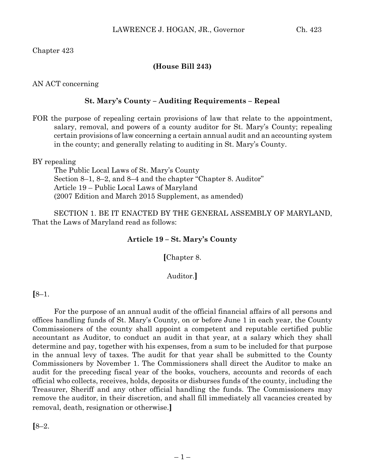Chapter 423

# **(House Bill 243)**

AN ACT concerning

# **St. Mary's County – Auditing Requirements – Repeal**

FOR the purpose of repealing certain provisions of law that relate to the appointment, salary, removal, and powers of a county auditor for St. Mary's County; repealing certain provisions of law concerning a certain annual audit and an accounting system in the county; and generally relating to auditing in St. Mary's County.

BY repealing

The Public Local Laws of St. Mary's County Section 8–1, 8–2, and 8–4 and the chapter "Chapter 8. Auditor" Article 19 – Public Local Laws of Maryland (2007 Edition and March 2015 Supplement, as amended)

SECTION 1. BE IT ENACTED BY THE GENERAL ASSEMBLY OF MARYLAND, That the Laws of Maryland read as follows:

#### **Article 19 – St. Mary's County**

**[**Chapter 8.

## Auditor.**]**

## **[**8–1.

For the purpose of an annual audit of the official financial affairs of all persons and offices handling funds of St. Mary's County, on or before June 1 in each year, the County Commissioners of the county shall appoint a competent and reputable certified public accountant as Auditor, to conduct an audit in that year, at a salary which they shall determine and pay, together with his expenses, from a sum to be included for that purpose in the annual levy of taxes. The audit for that year shall be submitted to the County Commissioners by November 1. The Commissioners shall direct the Auditor to make an audit for the preceding fiscal year of the books, vouchers, accounts and records of each official who collects, receives, holds, deposits or disburses funds of the county, including the Treasurer, Sheriff and any other official handling the funds. The Commissioners may remove the auditor, in their discretion, and shall fill immediately all vacancies created by removal, death, resignation or otherwise.**]**

**[**8–2.